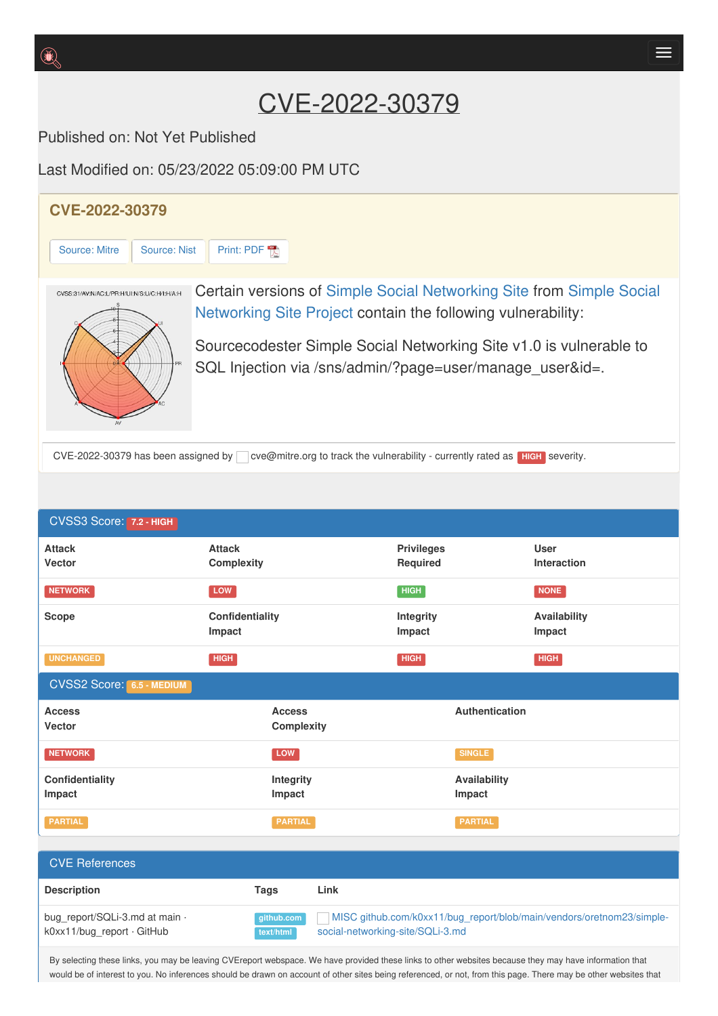## CVE-2022-30379

Published on: Not Yet Published

Last Modified on: 05/23/2022 05:09:00 PM UTC

**Impact**

**Description Tags Link**

CVSS2 Score: **6.5 - MEDIUM**

**Access Vecto[r](http://cve.report/glossary/cvss-2-score-details/)**

**Impact**

**Confidentiality**

CVE References

bug\_report/SQLi-3.md at main  $\cdot$ k0xx11/bug\_report · GitHub

**UNCHANGED HIGH HIGH HIGH**

**Access Complexity**

**Integrity Impact**

**NETWORK SINGLE** 

**PARTIAL PARTIAL PARTIAL**

**github.com text/html**



**Impact**

**Impact**

**Authentication**

**Availability Impact**

MISC [github.com/k0xx11/bug\\_report/blob/main/vendors/oretnom23/simple-](https://github.com/k0xx11/bug_report/blob/main/vendors/oretnom23/simple-social-networking-site/SQLi-3.md)

By selecting these links, you may be leaving CVEreport webspace. We have provided these links to other websites because they may have information that would be of interest to you. No inferences should be drawn on account of other sites being referenced, or not, from this page. There may be other websites that

social-networking-site/SQLi-3.md